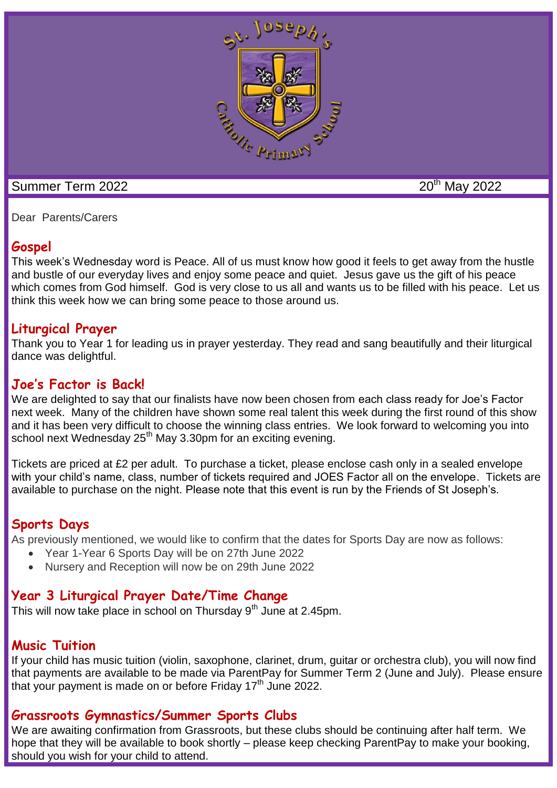

Dear Parents/Carers

## **Gospel**

This week's Wednesday word is Peace. All of us must know how good it feels to get away from the hustle and bustle of our everyday lives and enjoy some peace and quiet. Jesus gave us the gift of his peace which comes from God himself. God is very close to us all and wants us to be filled with his peace. Let us think this week how we can bring some peace to those around us.

## **Liturgical Prayer**

Thank you to Year 1 for leading us in prayer yesterday. They read and sang beautifully and their liturgical dance was delightful.

#### **Joe's Factor is Back!**

We are delighted to say that our finalists have now been chosen from each class ready for Joe's Factor next week. Many of the children have shown some real talent this week during the first round of this show and it has been very difficult to choose the winning class entries. We look forward to welcoming you into school next Wednesday 25<sup>th</sup> May 3.30pm for an exciting evening.

Tickets are priced at £2 per adult. To purchase a ticket, please enclose cash only in a sealed envelope with your child's name, class, number of tickets required and JOES Factor all on the envelope. Tickets are available to purchase on the night. Please note that this event is run by the Friends of St Joseph's.

#### **Sports Days**

As previously mentioned, we would like to confirm that the dates for Sports Day are now as follows:

- Year 1-Year 6 Sports Day will be on 27th June 2022
- Nursery and Reception will now be on 29th June 2022

# **Year 3 Liturgical Prayer Date/Time Change**

This will now take place in school on Thursday  $9<sup>th</sup>$  June at 2.45pm.

# **Music Tuition**

If your child has music tuition (violin, saxophone, clarinet, drum, guitar or orchestra club), you will now find that payments are available to be made via ParentPay for Summer Term 2 (June and July). Please ensure that your payment is made on or before Friday  $17<sup>th</sup>$  June 2022.

# **Grassroots Gymnastics/Summer Sports Clubs**

We are awaiting confirmation from Grassroots, but these clubs should be continuing after half term. We hope that they will be available to book shortly – please keep checking ParentPay to make your booking, should you wish for your child to attend.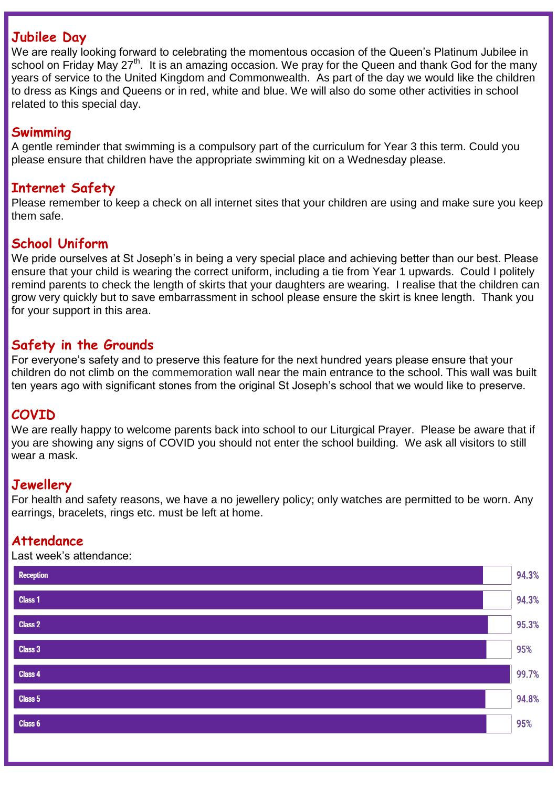#### **Jubilee Day**

We are really looking forward to celebrating the momentous occasion of the Queen's Platinum Jubilee in school on Friday May 27<sup>th</sup>. It is an amazing occasion. We pray for the Queen and thank God for the many years of service to the United Kingdom and Commonwealth. As part of the day we would like the children to dress as Kings and Queens or in red, white and blue. We will also do some other activities in school related to this special day.

#### **Swimming**

A gentle reminder that swimming is a compulsory part of the curriculum for Year 3 this term. Could you please ensure that children have the appropriate swimming kit on a Wednesday please.

#### **Internet Safety**

Please remember to keep a check on all internet sites that your children are using and make sure you keep them safe.

#### **School Uniform**

We pride ourselves at St Joseph's in being a very special place and achieving better than our best. Please ensure that your child is wearing the correct uniform, including a tie from Year 1 upwards. Could I politely remind parents to check the length of skirts that your daughters are wearing. I realise that the children can grow very quickly but to save embarrassment in school please ensure the skirt is knee length. Thank you for your support in this area.

#### **Safety in the Grounds**

For everyone's safety and to preserve this feature for the next hundred years please ensure that your children do not climb on the commemoration wall near the main entrance to the school. This wall was built ten years ago with significant stones from the original St Joseph's school that we would like to preserve.

# **COVID**

We are really happy to welcome parents back into school to our Liturgical Prayer. Please be aware that if you are showing any signs of COVID you should not enter the school building. We ask all visitors to still wear a mask.

## **Jewellery**

For health and safety reasons, we have a no jewellery policy; only watches are permitted to be worn. Any earrings, bracelets, rings etc. must be left at home.

#### **Attendance**

Last week's attendance:

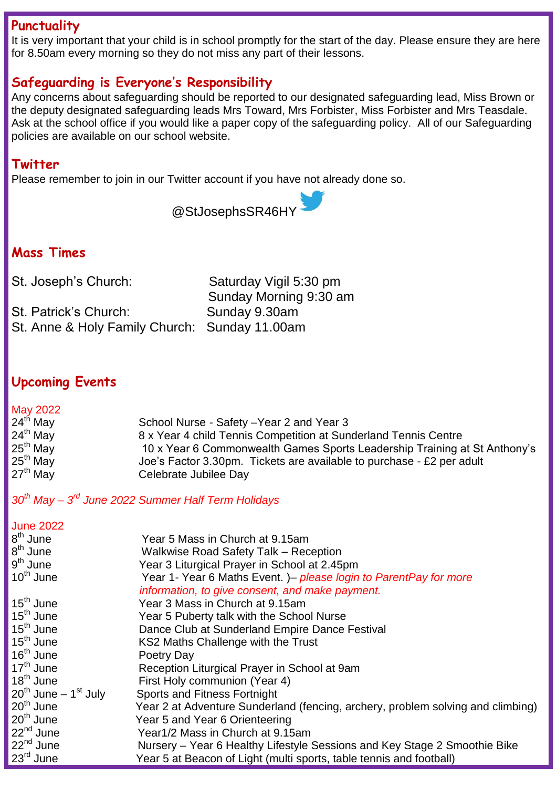#### **Punctuality**

It is very important that your child is in school promptly for the start of the day. Please ensure they are here for 8.50am every morning so they do not miss any part of their lessons.

# **Safeguarding is Everyone's Responsibility**

Any concerns about safeguarding should be reported to our designated safeguarding lead, Miss Brown or the deputy designated safeguarding leads Mrs Toward, Mrs Forbister, Miss Forbister and Mrs Teasdale. Ask at the school office if you would like a paper copy of the safeguarding policy. All of our Safeguarding policies are available on our school website.

#### **Twitter**

Please remember to join in our Twitter account if you have not already done so.

@StJosephsSR46HY

# **Mass Times**

St. Patrick's Church: Sunday 9.30am St. Anne & Holy Family Church: Sunday 11.00am

St. Joseph's Church: Saturday Vigil 5:30 pm Sunday Morning 9:30 am

# **Upcoming Events**

#### May 2022<br>24<sup>th</sup> May School Nurse - Safety –Year 2 and Year 3 24th May 8 x Year 4 child Tennis Competition at Sunderland Tennis Centre 10 x Year 6 Commonwealth Games Sports Leadership Training at St Anthony's 25<sup>th</sup> May **Joe's Factor 3.30pm.** Tickets are available to purchase - £2 per adult<br>27<sup>th</sup> May **Celebrate Jubilee Dav** Celebrate Jubilee Day

*30th May – 3 rd June 2022 Summer Half Term Holidays*

#### June 2022 8<sup>th</sup> June Year 5 Mass in Church at 9.15am 8<sup>th</sup> June Walkwise Road Safety Talk – Reception 9<sup>th</sup> June Year 3 Liturgical Prayer in School at 2.45pm 10th June Year 1- Year 6 Maths Event. )– *please login to ParentPay for more information, to give consent, and make payment.*<br>15<sup>th</sup> June **15th** Year 3 Mass in Church at 9.15am Year 3 Mass in Church at 9.15am 15<sup>th</sup> June Year 5 Puberty talk with the School Nurse<br>15<sup>th</sup> June **Dance Club at Sunderland Empire Dance** 15<sup>th</sup> June **Dance Club at Sunderland Empire Dance Festival**<br>15<sup>th</sup> June **Canada KS2 Maths Challenge with the Trust** KS2 Maths Challenge with the Trust 16<sup>th</sup> June Poetry Day<br>17<sup>th</sup> June Reception I 17<sup>th</sup> June **Reception Liturgical Prayer in School at 9am**<br>18<sup>th</sup> June **Reception Liturgical Prayer 1** First Holy communion (Year 4)  $20^{th}$  June – 1<sup>st</sup> July<br> $20^{th}$  June Sports and Fitness Fortnight  $20<sup>th</sup>$  June Year 2 at Adventure Sunderland (fencing, archery, problem solving and climbing)<br>20<sup>th</sup> June Year 5 and Year 6 Orienteering 20<sup>th</sup> June Year 5 and Year 6 Orienteering<br>22<sup>nd</sup> June Year1/2 Mass in Church at 9.1 22<sup>nd</sup> June Year1/2 Mass in Church at 9.15am<br>22<sup>nd</sup> June Nursery – Year 6 Healthy Lifestyle 22<sup>nd</sup> June **Nursery – Year 6 Healthy Lifestyle Sessions and Key Stage 2 Smoothie Bike<br>23<sup>rd</sup> June <b>1980 Star Wear 5 at Beacon of Light (multi** sports, table tennis and football) Year 5 at Beacon of Light (multi sports, table tennis and football)